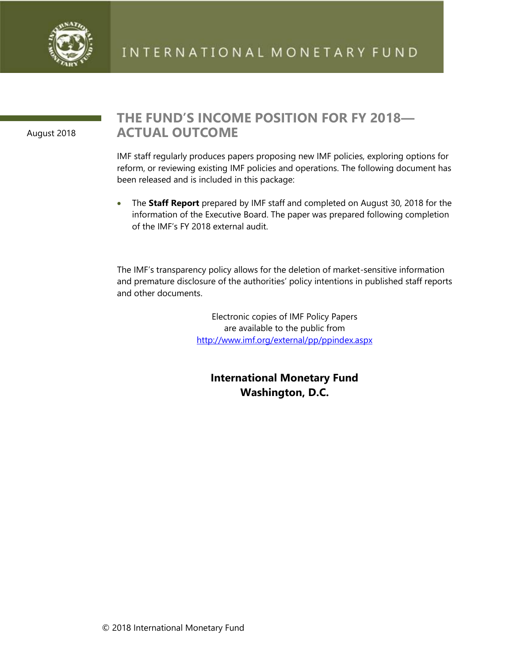

August 2018

## **THE FUND'S INCOME POSITION FOR FY 2018— ACTUAL OUTCOME**

IMF staff regularly produces papers proposing new IMF policies, exploring options for reform, or reviewing existing IMF policies and operations. The following document has been released and is included in this package:

• The **Staff Report** prepared by IMF staff and completed on August 30, 2018 for the information of the Executive Board. The paper was prepared following completion of the IMF's FY 2018 external audit.

The IMF's transparency policy allows for the deletion of market-sensitive information and premature disclosure of the authorities' policy intentions in published staff reports and other documents.

> Electronic copies of IMF Policy Papers are available to the public from <http://www.imf.org/external/pp/ppindex.aspx>

**International Monetary Fund Washington, D.C.**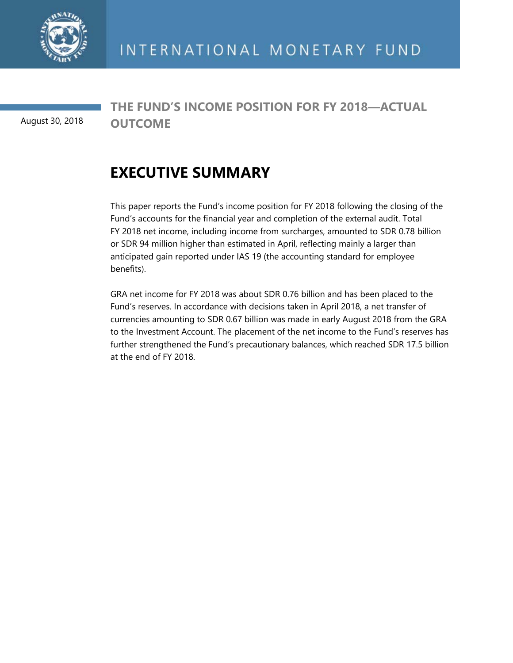

August 30, 2018

**THE FUND'S INCOME POSITION FOR FY 2018—ACTUAL OUTCOME** 

## **EXECUTIVE SUMMARY**

This paper reports the Fund's income position for FY 2018 following the closing of the Fund's accounts for the financial year and completion of the external audit. Total FY 2018 net income, including income from surcharges, amounted to SDR 0.78 billion or SDR 94 million higher than estimated in April, reflecting mainly a larger than anticipated gain reported under IAS 19 (the accounting standard for employee benefits).

GRA net income for FY 2018 was about SDR 0.76 billion and has been placed to the Fund's reserves. In accordance with decisions taken in April 2018, a net transfer of currencies amounting to SDR 0.67 billion was made in early August 2018 from the GRA to the Investment Account. The placement of the net income to the Fund's reserves has further strengthened the Fund's precautionary balances, which reached SDR 17.5 billion at the end of FY 2018.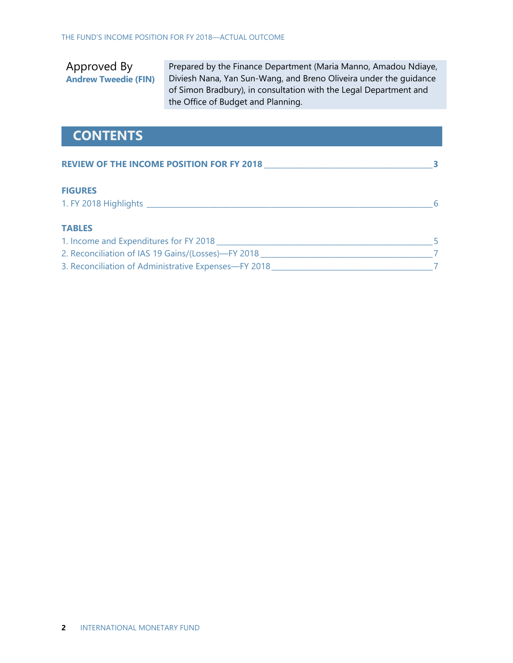Approved By **Andrew Tweedie (FIN)**

Prepared by the Finance Department (Maria Manno, Amadou Ndiaye, Diviesh Nana, Yan Sun-Wang, and Breno Oliveira under the guidance of Simon Bradbury), in consultation with the Legal Department and the Office of Budget and Planning.

## **CONTENTS**

| <b>REVIEW OF THE INCOME POSITION FOR FY 2018</b>     |  |
|------------------------------------------------------|--|
| <b>FIGURES</b>                                       |  |
| 1. FY 2018 Highlights Law March 2018 Highlights      |  |
| <b>TABLES</b>                                        |  |
| 1. Income and Expenditures for FY 2018               |  |
| 2. Reconciliation of IAS 19 Gains/(Losses)-FY 2018   |  |
| 3. Reconciliation of Administrative Expenses-FY 2018 |  |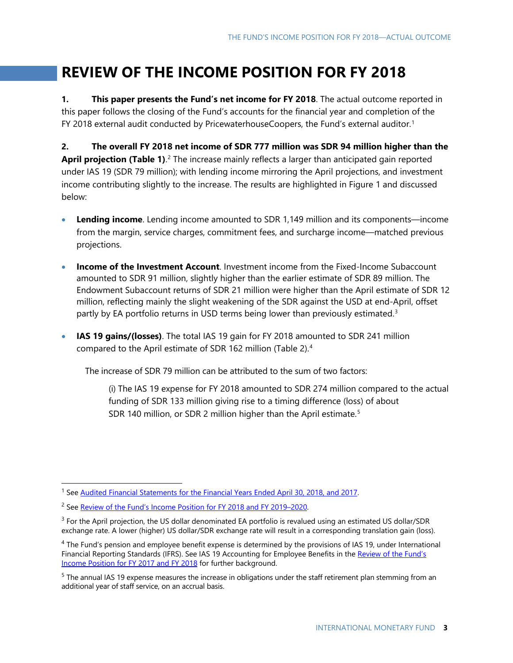## **REVIEW OF THE INCOME POSITION FOR FY 2018**

**1. This paper presents the Fund's net income for FY 2018**. The actual outcome reported in this paper follows the closing of the Fund's accounts for the financial year and completion of the FY 20[1](#page-3-0)8 external audit conducted by PricewaterhouseCoopers, the Fund's external auditor.<sup>1</sup>

**2. The overall FY 2018 net income of SDR 777 million was SDR 94 million higher than the April projection (Table 1)**.<sup>[2](#page-3-1)</sup> The increase mainly reflects a larger than anticipated gain reported under IAS 19 (SDR 79 million); with lending income mirroring the April projections, and investment income contributing slightly to the increase. The results are highlighted in Figure 1 and discussed below:

- **Lending income**. Lending income amounted to SDR 1,149 million and its components—income from the margin, service charges, commitment fees, and surcharge income—matched previous projections.
- **Income of the Investment Account**. Investment income from the Fixed-Income Subaccount amounted to SDR 91 million, slightly higher than the earlier estimate of SDR 89 million. The Endowment Subaccount returns of SDR 21 million were higher than the April estimate of SDR 12 million, reflecting mainly the slight weakening of the SDR against the USD at end-April, offset partly by EA portfolio returns in USD terms being lower than previously estimated.<sup>[3](#page-3-2)</sup>
- **IAS 19 gains/(losses)**. The total IAS 19 gain for FY 2018 amounted to SDR 241 million compared to the April estimate of SDR 162 million (Table 2).[4](#page-3-3)

The increase of SDR 79 million can be attributed to the sum of two factors:

(i) The IAS 19 expense for FY 2018 amounted to SDR 274 million compared to the actual funding of SDR 133 million giving rise to a timing difference (loss) of about SDR 140 million, or SDR 2 million higher than the April estimate. [5](#page-3-4)

<span id="page-3-0"></span><sup>&</sup>lt;sup>1</sup> See [Audited Financial Statements for the Financial Years Ended April 30, 2018, and 2017.](https://www.imf.org/External/Pubs/FT/quart/2018fy/043018.pdf)

<span id="page-3-1"></span><sup>&</sup>lt;sup>2</sup> See [Review of the Fund's Income Position for FY 2018 and FY 2019–2020.](https://www.imf.org/%7E/media/Files/Publications/PP/2018/review-of-the-funds-income-position-for-fy-2018-and-fy2019-20-6405999-vr-dmsdr1s.ashx)

<span id="page-3-2"></span> $3$  For the April projection, the US dollar denominated EA portfolio is revalued using an estimated US dollar/SDR exchange rate. A lower (higher) US dollar/SDR exchange rate will result in a corresponding translation gain (loss).

<span id="page-3-3"></span><sup>&</sup>lt;sup>4</sup> The Fund's pension and employee benefit expense is determined by the provisions of IAS 19, under International Financial Reporting Standards (IFRS). See IAS 19 Accounting for Employee Benefits in the Review of the Fund's [Income Position for FY 2017 and FY 2018](https://www.imf.org/%7E/media/Files/Publications/PP/pp040417review-of-the-fund-s-income-position-for-fy-2017-and-fy-2018.ashx) for further background.

<span id="page-3-4"></span><sup>&</sup>lt;sup>5</sup> The annual IAS 19 expense measures the increase in obligations under the staff retirement plan stemming from an additional year of staff service, on an accrual basis.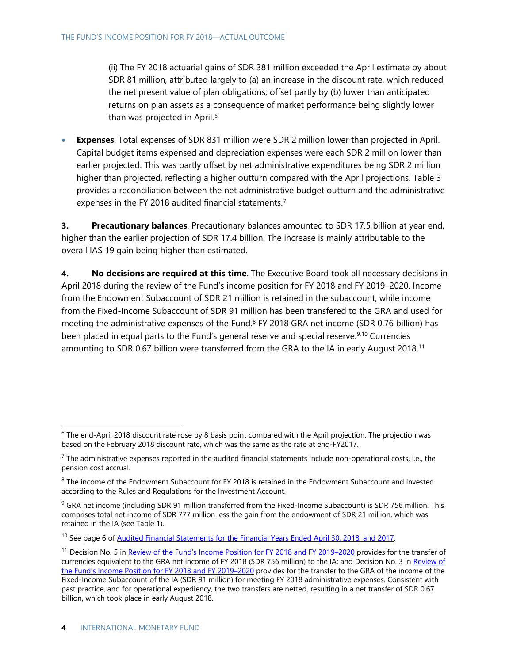(ii) The FY 2018 actuarial gains of SDR 381 million exceeded the April estimate by about SDR 81 million, attributed largely to (a) an increase in the discount rate, which reduced the net present value of plan obligations; offset partly by (b) lower than anticipated returns on plan assets as a consequence of market performance being slightly lower than was projected in April.<sup>[6](#page-4-0)</sup>

• **Expenses**. Total expenses of SDR 831 million were SDR 2 million lower than projected in April. Capital budget items expensed and depreciation expenses were each SDR 2 million lower than earlier projected. This was partly offset by net administrative expenditures being SDR 2 million higher than projected, reflecting a higher outturn compared with the April projections. Table 3 provides a reconciliation between the net administrative budget outturn and the administrative expenses in the FY 2018 audited financial statements.<sup>[7](#page-4-1)</sup>

**3. Precautionary balances**. Precautionary balances amounted to SDR 17.5 billion at year end, higher than the earlier projection of SDR 17.4 billion. The increase is mainly attributable to the overall IAS 19 gain being higher than estimated.

**4. No decisions are required at this time**. The Executive Board took all necessary decisions in April 2018 during the review of the Fund's income position for FY 2018 and FY 2019–2020. Income from the Endowment Subaccount of SDR 21 million is retained in the subaccount, while income from the Fixed-Income Subaccount of SDR 91 million has been transfered to the GRA and used for meeting the administrative expenses of the Fund.<sup>[8](#page-4-2)</sup> FY 2018 GRA net income (SDR 0.76 billion) has been placed in equal parts to the Fund's general reserve and special reserve.<sup>[9,](#page-4-3)[10](#page-4-4)</sup> Currencies amounting to SDR 0.67 billion were transferred from the GRA to the IA in early August 2018.<sup>[11](#page-4-5)</sup>

<span id="page-4-0"></span> $6$  The end-April 2018 discount rate rose by 8 basis point compared with the April projection. The projection was based on the February 2018 discount rate, which was the same as the rate at end-FY2017.

<span id="page-4-1"></span> $<sup>7</sup>$  The administrative expenses reported in the audited financial statements include non-operational costs, i.e., the</sup> pension cost accrual.

<span id="page-4-2"></span> $8$  The income of the Endowment Subaccount for FY 2018 is retained in the Endowment Subaccount and invested according to the Rules and Regulations for the Investment Account.

<span id="page-4-3"></span><sup>&</sup>lt;sup>9</sup> GRA net income (including SDR 91 million transferred from the Fixed-Income Subaccount) is SDR 756 million. This comprises total net income of SDR 777 million less the gain from the endowment of SDR 21 million, which was retained in the IA (see Table 1).

<span id="page-4-4"></span><sup>&</sup>lt;sup>10</sup> See page 6 of [Audited Financial Statements for the Financial Years Ended April 30, 2018, and 2017.](https://www.imf.org/External/Pubs/FT/quart/2018fy/043018.pdf)

<span id="page-4-5"></span><sup>&</sup>lt;sup>11</sup> Decision No. 5 in [Review of the Fund's Income Position for FY 2018 and FY 2019–2020](https://www.imf.org/%7E/media/Files/Publications/PP/2018/review-of-the-funds-income-position-for-fy-2018-and-fy2019-20-6405999-vr-dmsdr1s.ashx) provides for the transfer of currencies equivalent to the GRA net income of FY 2018 (SDR 756 million) to the IA; and Decision No. 3 in [Review of](https://www.imf.org/%7E/media/Files/Publications/PP/2018/review-of-the-funds-income-position-for-fy-2018-and-fy2019-20-6405999-vr-dmsdr1s.ashx)  [the Fund's Income Position for FY 2018 and FY 2019–2020](https://www.imf.org/%7E/media/Files/Publications/PP/2018/review-of-the-funds-income-position-for-fy-2018-and-fy2019-20-6405999-vr-dmsdr1s.ashx) provides for the transfer to the GRA of the income of the Fixed-Income Subaccount of the IA (SDR 91 million) for meeting FY 2018 administrative expenses. Consistent with past practice, and for operational expediency, the two transfers are netted, resulting in a net transfer of SDR 0.67 billion, which took place in early August 2018.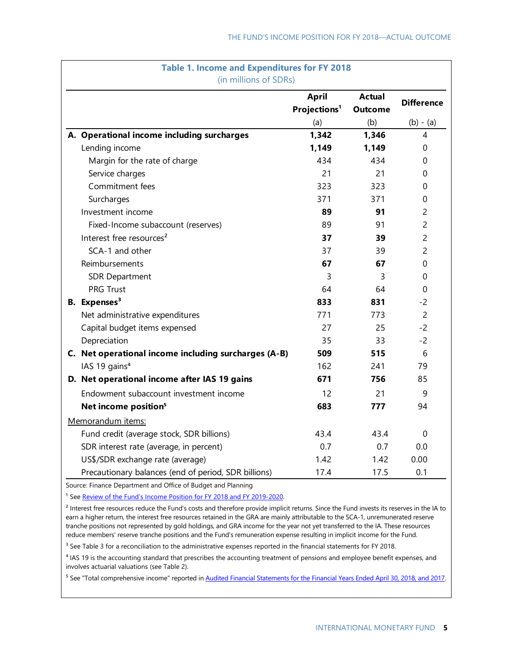| <b>Table 1. Income and Expenditures for FY 2018</b><br>(in millions of SDRs) |                                                      |                                          |                                 |                   |  |  |
|------------------------------------------------------------------------------|------------------------------------------------------|------------------------------------------|---------------------------------|-------------------|--|--|
|                                                                              |                                                      | <b>April</b><br>Projections <sup>1</sup> | <b>Actual</b><br><b>Outcome</b> | <b>Difference</b> |  |  |
|                                                                              |                                                      | (a)                                      | (b)                             | $(b) - (a)$       |  |  |
|                                                                              | A. Operational income including surcharges           | 1,342                                    | 1,346                           | 4                 |  |  |
|                                                                              | Lending income                                       | 1,149                                    | 1,149                           | 0                 |  |  |
|                                                                              | Margin for the rate of charge                        | 434                                      | 434                             | 0                 |  |  |
|                                                                              | Service charges                                      | 21                                       | 21                              | 0                 |  |  |
|                                                                              | Commitment fees                                      | 323                                      | 323                             | 0                 |  |  |
|                                                                              | Surcharges                                           | 371                                      | 371                             | 0                 |  |  |
|                                                                              | Investment income                                    | 89                                       | 91                              | $\overline{c}$    |  |  |
|                                                                              | Fixed-Income subaccount (reserves)                   | 89                                       | 91                              | $\overline{c}$    |  |  |
|                                                                              | Interest free resources <sup>2</sup>                 | 37                                       | 39                              | $\overline{c}$    |  |  |
|                                                                              | SCA-1 and other                                      | 37                                       | 39                              | $\overline{c}$    |  |  |
|                                                                              | Reimbursements                                       | 67                                       | 67                              | 0                 |  |  |
|                                                                              | <b>SDR Department</b>                                | 3                                        | 3                               | 0                 |  |  |
|                                                                              | <b>PRG Trust</b>                                     | 64                                       | 64                              | $\Omega$          |  |  |
|                                                                              | <b>B.</b> Expenses <sup>3</sup>                      | 833                                      | 831                             | $-2$              |  |  |
|                                                                              | Net administrative expenditures                      | 771                                      | 773                             | $\overline{2}$    |  |  |
|                                                                              | Capital budget items expensed                        | 27                                       | 25                              | $-2$              |  |  |
|                                                                              | Depreciation                                         | 35                                       | 33                              | $-2$              |  |  |
|                                                                              | C. Net operational income including surcharges (A-B) | 509                                      | 515                             | 6                 |  |  |
|                                                                              | IAS 19 gains <sup>4</sup>                            | 162                                      | 241                             | 79                |  |  |
|                                                                              | D. Net operational income after IAS 19 gains         | 671                                      | 756                             | 85                |  |  |
|                                                                              | Endowment subaccount investment income               | 12                                       | 21                              | 9                 |  |  |
|                                                                              | Net income position <sup>5</sup>                     | 683                                      | 777                             | 94                |  |  |
|                                                                              | Memorandum items:                                    |                                          |                                 |                   |  |  |
|                                                                              | Fund credit (average stock, SDR billions)            | 43.4                                     | 43.4                            | 0                 |  |  |
|                                                                              | SDR interest rate (average, in percent)              | 0.7                                      | 0.7                             | 0.0               |  |  |
|                                                                              | US\$/SDR exchange rate (average)                     | 1.42                                     | 1.42                            | 0.00              |  |  |
|                                                                              | Precautionary balances (end of period, SDR billions) | 17.4                                     | 17.5                            | 0.1               |  |  |

Source: Finance Department and Office of Budget and Planning

<sup>1</sup> Se[e Review of the Fund's Income Position for FY 2018 and FY 2019-2020.](https://www.imf.org/%7E/media/Files/Publications/PP/2018/review-of-the-funds-income-position-for-fy-2018-and-fy2019-20-6405999-vr-dmsdr1s.ashx)

<sup>2</sup> Interest free resources reduce the Fund's costs and therefore provide implicit returns. Since the Fund invests its reserves in the IA to earn a higher return, the interest free resources retained in the GRA are mainly attributable to the SCA-1, unremunerated reserve tranche positions not represented by gold holdings, and GRA income for the year not yet transferred to the IA. These resources reduce members' reserve tranche positions and the Fund's remuneration expense resulting in implicit income for the Fund.

<sup>3</sup> See Table 3 for a reconciliation to the administrative expenses reported in the financial statements for FY 2018.

⁴ IAS 19 is the accounting standard that prescribes the accounting treatment of pensions and employee benefit expenses, and involves actuarial valuations (see Table 2).

⁵ See "Total comprehensive income" reported in [Audited Financial Statements for the Financial Years Ended April 30, 2018, and 2017.](https://www.imf.org/External/Pubs/FT/quart/2018fy/043018.pdf)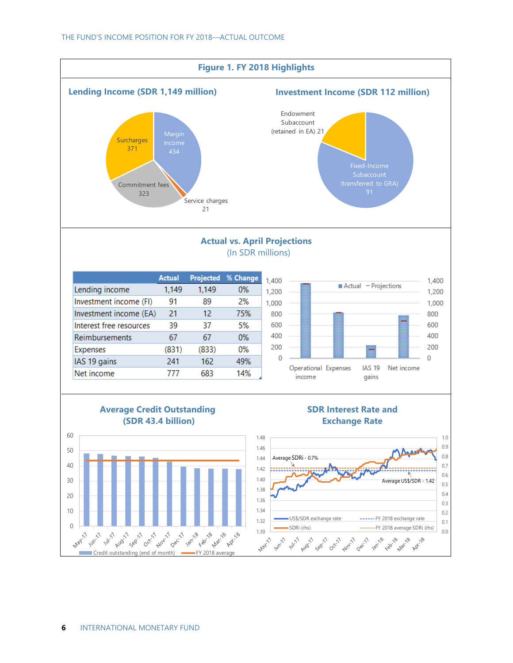